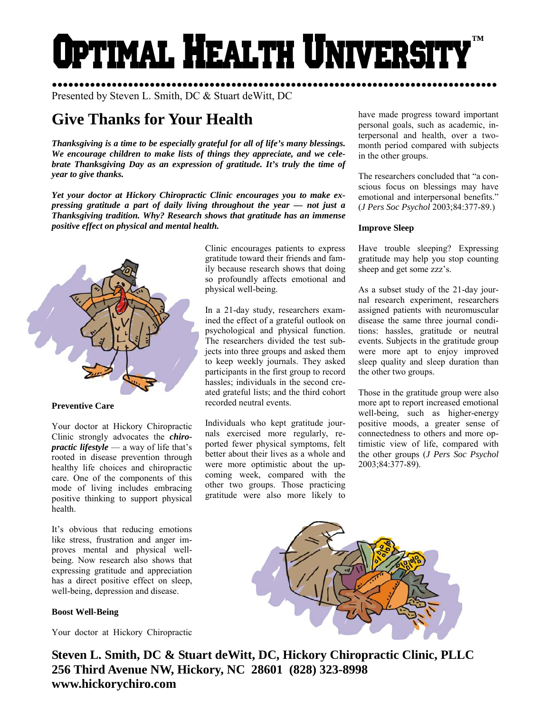# Optimal Health Universi **™**

●●●●●●●●●●●●●●●●●●●●●●●●●●●●●●●●●●●●●●●●●●●●●●●●●●●●●●●●●●●●●●●●●●●●●●●●●●●●●●●●●● Presented by Steven L. Smith, DC & Stuart deWitt, DC

# **Give Thanks for Your Health**

*Thanksgiving is a time to be especially grateful for all of life's many blessings. We encourage children to make lists of things they appreciate, and we celebrate Thanksgiving Day as an expression of gratitude. It's truly the time of year to give thanks.* 

*Yet your doctor at Hickory Chiropractic Clinic encourages you to make expressing gratitude a part of daily living throughout the year — not just a Thanksgiving tradition. Why? Research shows that gratitude has an immense positive effect on physical and mental health.* 



# **Preventive Care**

Your doctor at Hickory Chiropractic Clinic strongly advocates the *chiropractic lifestyle* — a way of life that's rooted in disease prevention through healthy life choices and chiropractic care. One of the components of this mode of living includes embracing positive thinking to support physical health.

It's obvious that reducing emotions like stress, frustration and anger improves mental and physical wellbeing. Now research also shows that expressing gratitude and appreciation has a direct positive effect on sleep, well-being, depression and disease.

# **Boost Well-Being**

Your doctor at Hickory Chiropractic

Clinic encourages patients to express gratitude toward their friends and family because research shows that doing so profoundly affects emotional and physical well-being.

In a 21-day study, researchers examined the effect of a grateful outlook on psychological and physical function. The researchers divided the test subjects into three groups and asked them to keep weekly journals. They asked participants in the first group to record hassles; individuals in the second created grateful lists; and the third cohort recorded neutral events.

Individuals who kept gratitude journals exercised more regularly, reported fewer physical symptoms, felt better about their lives as a whole and were more optimistic about the upcoming week, compared with the other two groups. Those practicing gratitude were also more likely to

have made progress toward important personal goals, such as academic, interpersonal and health, over a twomonth period compared with subjects in the other groups.

The researchers concluded that "a conscious focus on blessings may have emotional and interpersonal benefits." (*J Pers Soc Psychol* 2003;84:377-89.)

#### **Improve Sleep**

Have trouble sleeping? Expressing gratitude may help you stop counting sheep and get some zzz's.

As a subset study of the 21-day journal research experiment, researchers assigned patients with neuromuscular disease the same three journal conditions: hassles, gratitude or neutral events. Subjects in the gratitude group were more apt to enjoy improved sleep quality and sleep duration than the other two groups.

Those in the gratitude group were also more apt to report increased emotional well-being, such as higher-energy positive moods, a greater sense of connectedness to others and more optimistic view of life, compared with the other groups (*J Pers Soc Psychol* 2003;84:377-89).



**Steven L. Smith, DC & Stuart deWitt, DC, Hickory Chiropractic Clinic, PLLC 256 Third Avenue NW, Hickory, NC 28601 (828) 323-8998 www.hickorychiro.com**